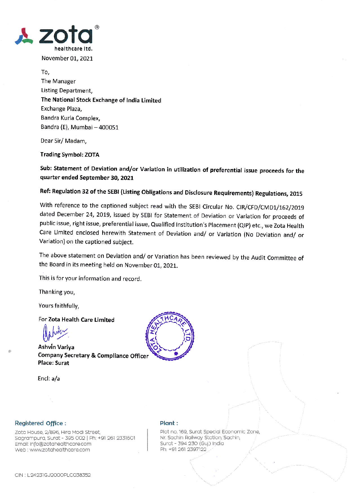

To, The Manager Listing Department, The National Stock Exchange of India Limited Exchange Plaza, Bandra Kurla Complex, Bandra (E), Mumbai - 400051

Dear Sir/Madam,

### **Trading Symbol: ZOTA**

Sub: Statement of Deviation and/or Variation in utilization of preferential issue proceeds for the quarter ended September 30, 2021

## Ref: Regulation 32 of the SEBI (Listing Obligations and Disclosure Requirements) Regulations, 2015

With reference to the captioned subject read with the SEBI Circular No. CIR/CFD/CMD1/162/2019 dated December 24, 2019, issued by SEBI for Statement of Deviation or Variation for proceeds of public issue, right issue, preferential issue, Qualified Institution's Placement (QIP) etc., we Zota Health Care Limited enclosed herewith Statement of Deviation and/ or Variation (No Deviation and/ or Variation) on the captioned subject.

The above statement on Deviation and/ or Variation has been reviewed by the Audit Committee of the Board in its meeting held on November 01, 2021.

This is for your information and record.

Thanking you,

Yours faithfully,

For Zota Health Care Limited

Ashvin Variva **Company Secretary & Compliance Officer Place: Surat** 

Encl: a/a



### Registered Office:

Zota House, 2/896, Hira Modi Street, Sagrampura, Surat - 395 002 | Ph: +91 261 2331601 Email: info@zotahealthcare.com Web : www.zotahealthcare.com

#### Plant:

Plot no. 169, Surat Special Economic Zone, Nr. Sachin Railway Station, Sachin, Surat - 394 230 (Guj.) India Ph: +91 261 2397122